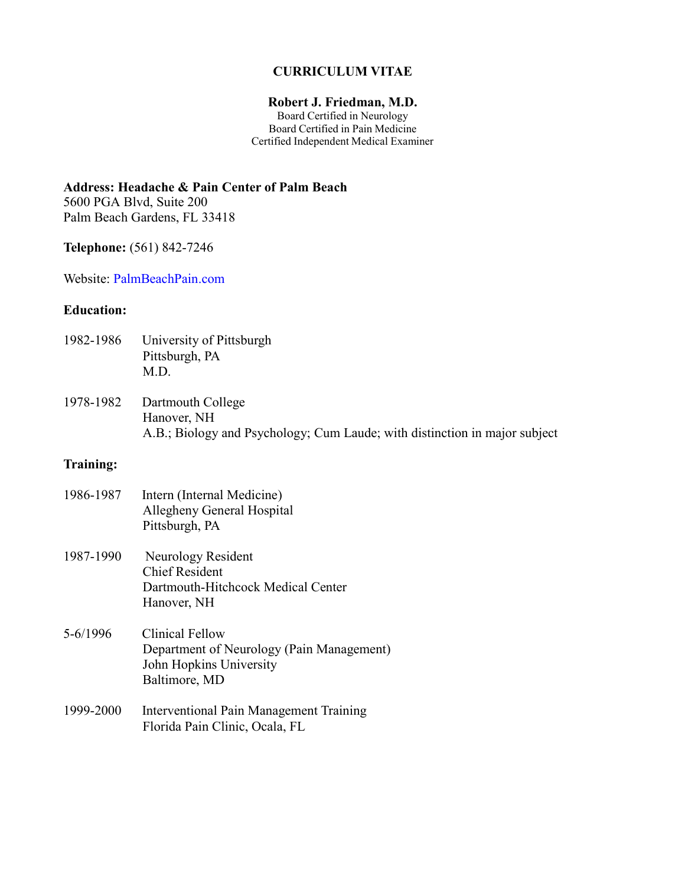## **CURRICULUM VITAE**

### **Robert J. Friedman, M.D.**

Board Certified in Neurology Board Certified in Pain Medicine Certified Independent Medical Examiner

**Address: Headache & Pain Center of Palm Beach**

5600 PGA Blvd, Suite 200 Palm Beach Gardens, FL 33418

**Telephone:** (561) 842-7246

Website: PalmBeachPain.com

# **Education:**

| 1982-1986 | University of Pittsburgh |
|-----------|--------------------------|
|           | Pittsburgh, PA           |
|           | M.D.                     |

1978-1982 Dartmouth College Hanover, NH A.B.; Biology and Psychology; Cum Laude; with distinction in major subject

# **Training:**

| 1986-1987 | Intern (Internal Medicine)<br>Allegheny General Hospital<br>Pittsburgh, PA                                      |
|-----------|-----------------------------------------------------------------------------------------------------------------|
| 1987-1990 | Neurology Resident<br><b>Chief Resident</b><br>Dartmouth-Hitchcock Medical Center<br>Hanover, NH                |
| 5-6/1996  | <b>Clinical Fellow</b><br>Department of Neurology (Pain Management)<br>John Hopkins University<br>Baltimore, MD |
| 1999-2000 | Interventional Pain Management Training<br>Florida Pain Clinic, Ocala, FL                                       |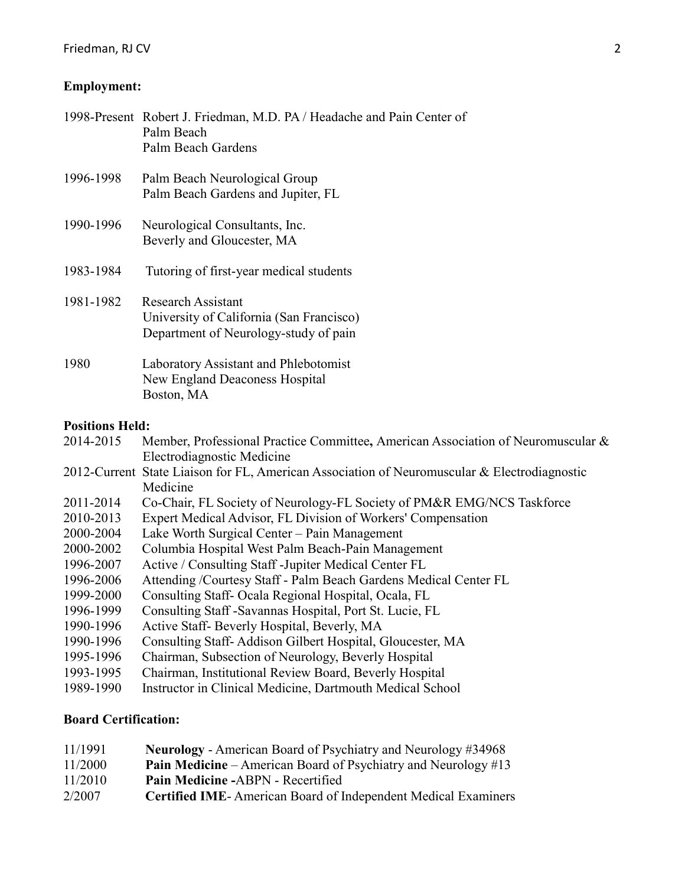# **Employment:**

| 1998-Present Robert J. Friedman, M.D. PA / Headache and Pain Center of<br>Palm Beach<br>Palm Beach Gardens     |  |  |
|----------------------------------------------------------------------------------------------------------------|--|--|
| Palm Beach Neurological Group<br>Palm Beach Gardens and Jupiter, FL                                            |  |  |
| Neurological Consultants, Inc.<br>Beverly and Gloucester, MA                                                   |  |  |
| Tutoring of first-year medical students                                                                        |  |  |
| <b>Research Assistant</b><br>University of California (San Francisco)<br>Department of Neurology-study of pain |  |  |
| Laboratory Assistant and Phlebotomist<br>New England Deaconess Hospital<br>Boston, MA                          |  |  |
| <b>Positions Held:</b>                                                                                         |  |  |
| Member, Professional Practice Committee, American Association of Neuromuscular &<br>Electrodiagnostic Medicine |  |  |
| 2012-Current State Liaison for FL, American Association of Neuromuscular & Electrodiagnostic<br>Medicine       |  |  |
| Co-Chair, FL Society of Neurology-FL Society of PM&R EMG/NCS Taskforce                                         |  |  |
| Expert Medical Advisor, FL Division of Workers' Compensation                                                   |  |  |
| Lake Worth Surgical Center - Pain Management                                                                   |  |  |
| Columbia Hospital West Palm Beach-Pain Management                                                              |  |  |
| Active / Consulting Staff - Jupiter Medical Center FL                                                          |  |  |
|                                                                                                                |  |  |

- 1996-2006 Attending /Courtesy Staff Palm Beach Gardens Medical Center FL
- 1999-2000 Consulting Staff- Ocala Regional Hospital, Ocala, FL
- 1996-1999 Consulting Staff -Savannas Hospital, Port St. Lucie, FL
- 1990-1996 Active Staff- Beverly Hospital, Beverly, MA
- 1990-1996 Consulting Staff- Addison Gilbert Hospital, Gloucester, MA
- 1995-1996 Chairman, Subsection of Neurology, Beverly Hospital
- 1993-1995 Chairman, Institutional Review Board, Beverly Hospital
- 1989-1990 Instructor in Clinical Medicine, Dartmouth Medical School

## **Board Certification:**

| 11/1991 | <b>Neurology</b> - American Board of Psychiatry and Neurology #34968     |
|---------|--------------------------------------------------------------------------|
| 11/2000 | <b>Pain Medicine</b> – American Board of Psychiatry and Neurology $\#13$ |
| 11/2010 | Pain Medicine -ABPN - Recertified                                        |
| 2/2007  | <b>Certified IME-American Board of Independent Medical Examiners</b>     |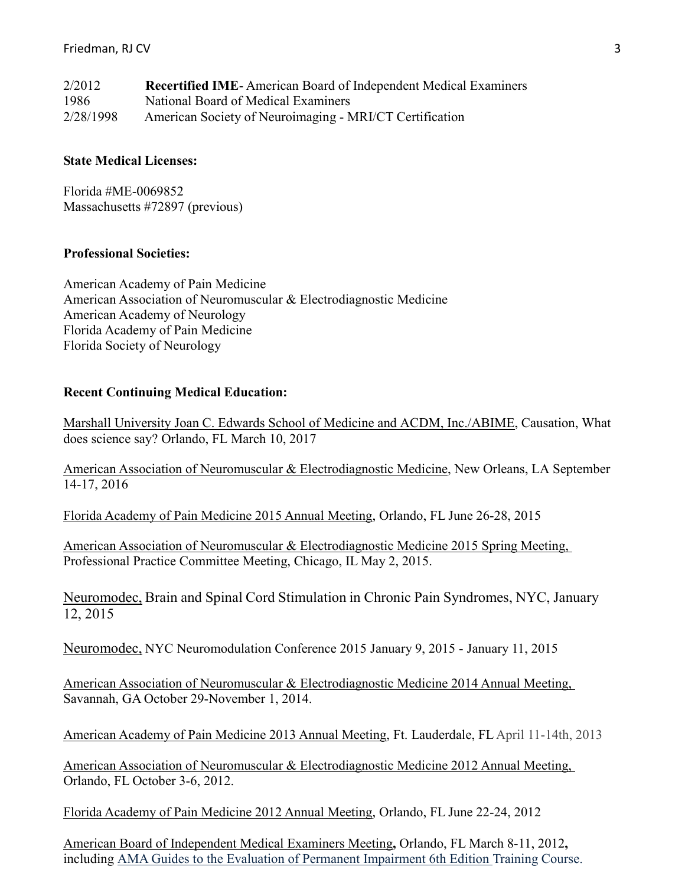| 2/2012    | <b>Recertified IME-American Board of Independent Medical Examiners</b> |
|-----------|------------------------------------------------------------------------|
| -1986     | National Board of Medical Examiners                                    |
| 2/28/1998 | American Society of Neuroimaging - MRI/CT Certification                |

## **State Medical Licenses:**

Florida #ME-0069852 Massachusetts #72897 (previous)

## **Professional Societies:**

American Academy of Pain Medicine American Association of Neuromuscular & Electrodiagnostic Medicine American Academy of Neurology Florida Academy of Pain Medicine Florida Society of Neurology

### **Recent Continuing Medical Education:**

Marshall University Joan C. Edwards School of Medicine and ACDM, Inc./ABIME, Causation, What does science say? Orlando, FL March 10, 2017

American Association of Neuromuscular & Electrodiagnostic Medicine, New Orleans, LA September 14-17, 2016

Florida Academy of Pain Medicine 2015 Annual Meeting, Orlando, FL June 26-28, 2015

American Association of Neuromuscular & Electrodiagnostic Medicine 2015 Spring Meeting, Professional Practice Committee Meeting, Chicago, IL May 2, 2015.

Neuromodec, Brain and Spinal Cord Stimulation in Chronic Pain Syndromes, NYC, January 12, 2015

Neuromodec, NYC Neuromodulation Conference 2015 January 9, 2015 - January 11, 2015

American Association of Neuromuscular & Electrodiagnostic Medicine 2014 Annual Meeting, Savannah, GA October 29-November 1, 2014.

American Academy of Pain Medicine 2013 Annual Meeting, Ft. Lauderdale, FL April 11-14th, 2013

American Association of Neuromuscular & Electrodiagnostic Medicine 2012 Annual Meeting, Orlando, FL October 3-6, 2012.

Florida Academy of Pain Medicine 2012 Annual Meeting, Orlando, FL June 22-24, 2012

American Board of Independent Medical Examiners Meeting**,** Orlando, FL March 8-11, 2012**,** including AMA Guides to the Evaluation of Permanent Impairment 6th Edition Training Course.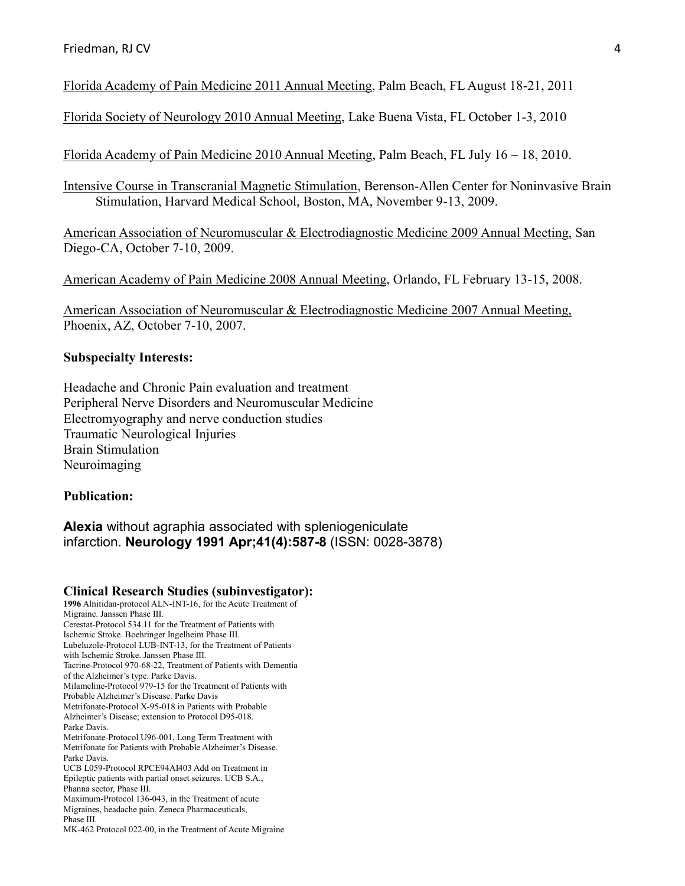Florida Academy of Pain Medicine 2011 Annual Meeting, Palm Beach, FL August 18-21, 2011

Florida Society of Neurology 2010 Annual Meeting, Lake Buena Vista, FL October 1-3, 2010

Florida Academy of Pain Medicine 2010 Annual Meeting, Palm Beach, FL July 16 – 18, 2010.

Intensive Course in Transcranial Magnetic Stimulation, Berenson-Allen Center for Noninvasive Brain Stimulation, Harvard Medical School, Boston, MA, November 9-13, 2009.

American Association of Neuromuscular & Electrodiagnostic Medicine 2009 Annual Meeting, San Diego-CA, October 7-10, 2009.

American Academy of Pain Medicine 2008 Annual Meeting, Orlando, FL February 13-15, 2008.

American Association of Neuromuscular & Electrodiagnostic Medicine 2007 Annual Meeting, Phoenix, AZ, October 7-10, 2007.

## **Subspecialty Interests:**

Headache and Chronic Pain evaluation and treatment Peripheral Nerve Disorders and Neuromuscular Medicine Electromyography and nerve conduction studies Traumatic Neurological Injuries Brain Stimulation Neuroimaging

#### **Publication:**

**Alexia** without agraphia associated with spleniogeniculate infarction. **Neurology 1991 Apr;41(4):587-8** (ISSN: 0028-3878)

#### **Clinical Research Studies (subinvestigator):**

**1996** Alnitidan-protocol ALN-INT-16, for the Acute Treatment of Migraine. Janssen Phase III. Cerestat-Protocol 534.11 for the Treatment of Patients with Ischemic Stroke. Boehringer Ingelheim Phase III. Lubeluzole-Protocol LUB-INT-13, for the Treatment of Patients with Ischemic Stroke. Janssen Phase III. Tacrine-Protocol 970-68-22, Treatment of Patients with Dementia of the Alzheimer's type. Parke Davis. Milameline-Protocol 979-15 for the Treatment of Patients with Probable Alzheimer's Disease. Parke Davis Metrifonate-Protocol X-95-018 in Patients with Probable Alzheimer's Disease; extension to Protocol D95-018. Parke Davis. Metrifonate-Protocol U96-001, Long Term Treatment with Metrifonate for Patients with Probable Alzheimer's Disease. Parke Davis. UCB L059-Protocol RPCE94AI403 Add on Treatment in Epileptic patients with partial onset seizures. UCB S.A., Phanna sector, Phase III. Maximum-Protocol 136-043, in the Treatment of acute Migraines, headache pain. Zeneca Pharmaceuticals, Phase III.

MK-462 Protocol 022-00, in the Treatment of Acute Migraine